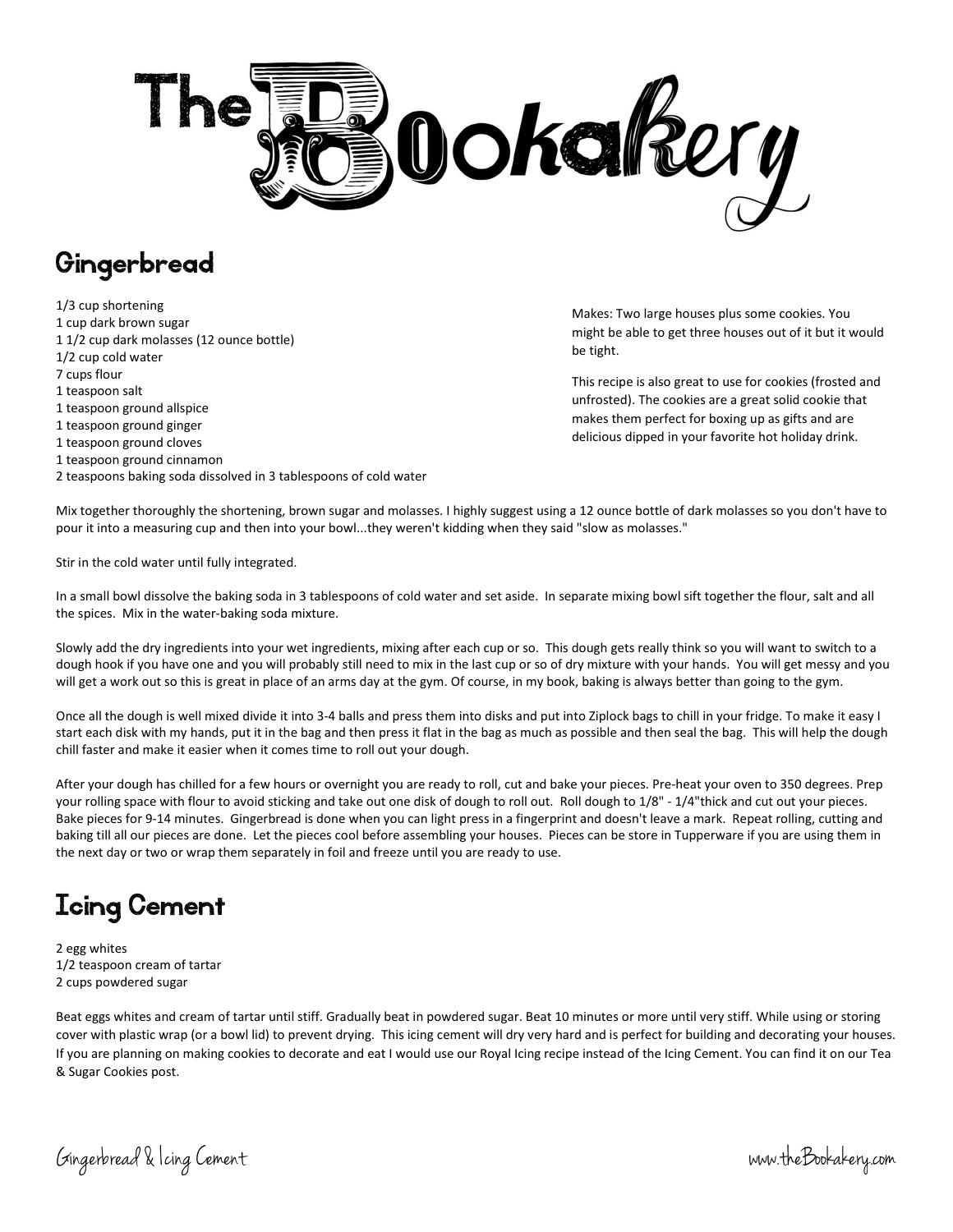

## Gingerbread

1/3 cup shortening 1 cup dark brown sugar 1 1/2 cup dark molasses (12 ounce bottle) 1/2 cup cold water 7 cups flour 1 teaspoon salt 1 teaspoon ground allspice 1 teaspoon ground ginger 1 teaspoon ground cloves 1 teaspoon ground cinnamon 2 teaspoons baking soda dissolved in 3 tablespoons of cold water

Makes: Two large houses plus some cookies. You might be able to get three houses out of it but it would be tight.

This recipe is also great to use for cookies (frosted and unfrosted). The cookies are a great solid cookie that makes them perfect for boxing up as gifts and are delicious dipped in your favorite hot holiday drink.

Mix together thoroughly the shortening, brown sugar and molasses. I highly suggest using a 12 ounce bottle of dark molasses so you don't have to pour it into a measuring cup and then into your bowl...they weren't kidding when they said "slow as molasses."

Stir in the cold water until fully integrated.

In a small bowl dissolve the baking soda in 3 tablespoons of cold water and set aside. In separate mixing bowl sift together the flour, salt and all the spices. Mix in the water-baking soda mixture.

Slowly add the dry ingredients into your wet ingredients, mixing after each cup or so. This dough gets really think so you will want to switch to a dough hook if you have one and you will probably still need to mix in the last cup or so of dry mixture with your hands. You will get messy and you will get a work out so this is great in place of an arms day at the gym. Of course, in my book, baking is always better than going to the gym.

Once all the dough is well mixed divide it into 3-4 balls and press them into disks and put into Ziplock bags to chill in your fridge. To make it easy I start each disk with my hands, put it in the bag and then press it flat in the bag as much as possible and then seal the bag. This will help the dough chill faster and make it easier when it comes time to roll out your dough.

After your dough has chilled for a few hours or overnight you are ready to roll, cut and bake your pieces. Pre-heat your oven to 350 degrees. Prep your rolling space with flour to avoid sticking and take out one disk of dough to roll out. Roll dough to 1/8" - 1/4"thick and cut out your pieces. Bake pieces for 9-14 minutes. Gingerbread is done when you can light press in a fingerprint and doesn't leave a mark. Repeat rolling, cutting and baking till all our pieces are done. Let the pieces cool before assembling your houses. Pieces can be store in Tupperware if you are using them in the next day or two or wrap them separately in foil and freeze until you are ready to use.

## Icing Cement

2 egg whites 1/2 teaspoon cream of tartar 2 cups powdered sugar

Beat eggs whites and cream of tartar until stiff. Gradually beat in powdered sugar. Beat 10 minutes or more until very stiff. While using or storing cover with plastic wrap (or a bowl lid) to prevent drying. This icing cement will dry very hard and is perfect for building and decorating your houses. If you are planning on making cookies to decorate and eat I would use our Royal Icing recipe instead of the Icing Cement. You can find it on our Tea & Sugar Cookies post.

Gingerbread & Icing Cement www.theBookakery.com